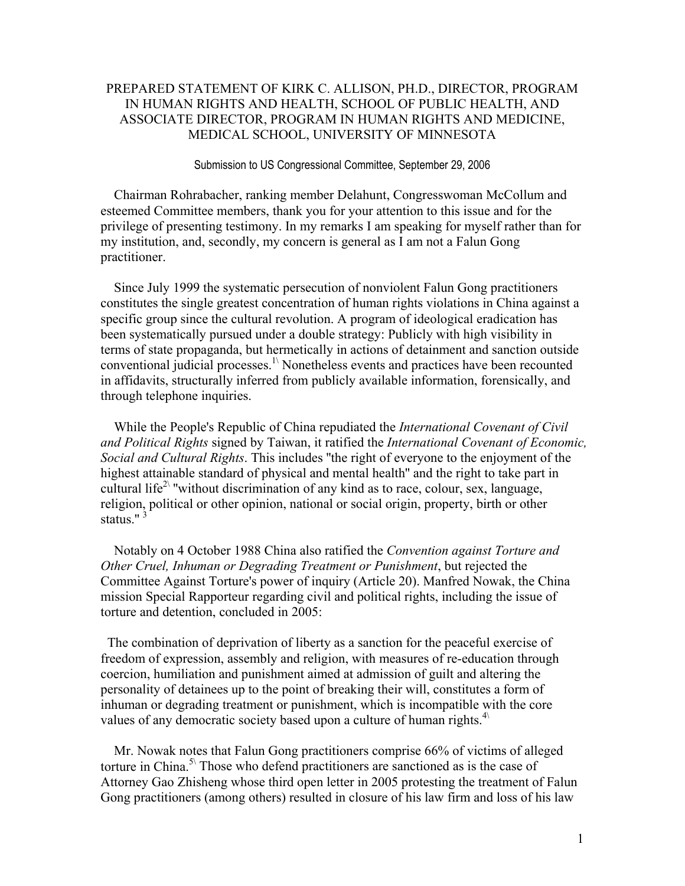## PREPARED STATEMENT OF KIRK C. ALLISON, PH.D., DIRECTOR, PROGRAM IN HUMAN RIGHTS AND HEALTH, SCHOOL OF PUBLIC HEALTH, AND ASSOCIATE DIRECTOR, PROGRAM IN HUMAN RIGHTS AND MEDICINE, MEDICAL SCHOOL, UNIVERSITY OF MINNESOTA

## Submission to US Congressional Committee, September 29, 2006

 Chairman Rohrabacher, ranking member Delahunt, Congresswoman McCollum and esteemed Committee members, thank you for your attention to this issue and for the privilege of presenting testimony. In my remarks I am speaking for myself rather than for my institution, and, secondly, my concern is general as I am not a Falun Gong practitioner.

 Since July 1999 the systematic persecution of nonviolent Falun Gong practitioners constitutes the single greatest concentration of human rights violations in China against a specific group since the cultural revolution. A program of ideological eradication has been systematically pursued under a double strategy: Publicly with high visibility in terms of state propaganda, but hermetically in actions of detainment and sanction outside conventional judicial processes.<sup>1\</sup> Nonetheless events and practices have been recounted in affidavits, structurally inferred from publicly available information, forensically, and through telephone inquiries.

 While the People's Republic of China repudiated the *International Covenant of Civil and Political Rights* signed by Taiwan, it ratified the *International Covenant of Economic, Social and Cultural Rights*. This includes ''the right of everyone to the enjoyment of the highest attainable standard of physical and mental health'' and the right to take part in cultural life<sup>2\</sup> "without discrimination of any kind as to race, colour, sex, language, religion, political or other opinion, national or social origin, property, birth or other status." $\frac{3}{3}$ 

 Notably on 4 October 1988 China also ratified the *Convention against Torture and Other Cruel, Inhuman or Degrading Treatment or Punishment*, but rejected the Committee Against Torture's power of inquiry (Article 20). Manfred Nowak, the China mission Special Rapporteur regarding civil and political rights, including the issue of torture and detention, concluded in 2005:

 The combination of deprivation of liberty as a sanction for the peaceful exercise of freedom of expression, assembly and religion, with measures of re-education through coercion, humiliation and punishment aimed at admission of guilt and altering the personality of detainees up to the point of breaking their will, constitutes a form of inhuman or degrading treatment or punishment, which is incompatible with the core values of any democratic society based upon a culture of human rights. $4\sigma$ 

 Mr. Nowak notes that Falun Gong practitioners comprise 66% of victims of alleged torture in China.<sup>5\</sup> Those who defend practitioners are sanctioned as is the case of Attorney Gao Zhisheng whose third open letter in 2005 protesting the treatment of Falun Gong practitioners (among others) resulted in closure of his law firm and loss of his law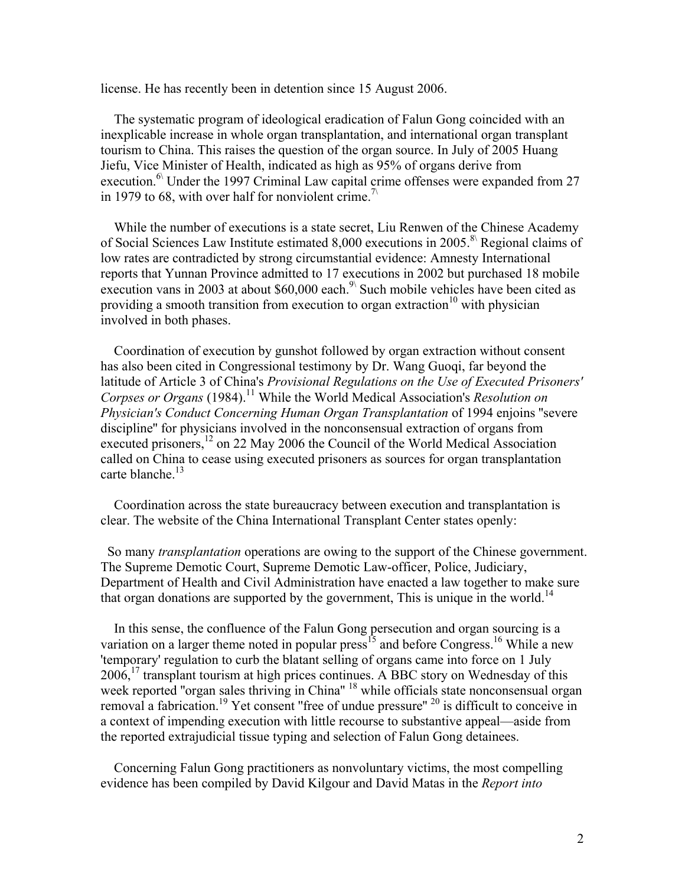license. He has recently been in detention since 15 August 2006.

 The systematic program of ideological eradication of Falun Gong coincided with an inexplicable increase in whole organ transplantation, and international organ transplant tourism to China. This raises the question of the organ source. In July of 2005 Huang Jiefu, Vice Minister of Health, indicated as high as 95% of organs derive from execution.<sup>6</sup> Under the 1997 Criminal Law capital crime offenses were expanded from 27 in 1979 to 68, with over half for nonviolent crime.<sup> $\land$ </sup>

 While the number of executions is a state secret, Liu Renwen of the Chinese Academy of Social Sciences Law Institute estimated 8,000 executions in 2005.<sup>8\</sup> Regional claims of low rates are contradicted by strong circumstantial evidence: Amnesty International reports that Yunnan Province admitted to 17 executions in 2002 but purchased 18 mobile execution vans in 2003 at about \$60,000 each.<sup>9\</sup> Such mobile vehicles have been cited as providing a smooth transition from execution to organ extraction<sup>10</sup> with physician involved in both phases.

 Coordination of execution by gunshot followed by organ extraction without consent has also been cited in Congressional testimony by Dr. Wang Guoqi, far beyond the latitude of Article 3 of China's *Provisional Regulations on the Use of Executed Prisoners' Corpses or Organs* (1984).<sup>11</sup> While the World Medical Association's *Resolution on Physician's Conduct Concerning Human Organ Transplantation* of 1994 enjoins ''severe discipline'' for physicians involved in the nonconsensual extraction of organs from executed prisoners,<sup>12</sup> on 22 May 2006 the Council of the World Medical Association called on China to cease using executed prisoners as sources for organ transplantation carte blanche.<sup>13</sup>

 Coordination across the state bureaucracy between execution and transplantation is clear. The website of the China International Transplant Center states openly:

 So many *transplantation* operations are owing to the support of the Chinese government. The Supreme Demotic Court, Supreme Demotic Law-officer, Police, Judiciary, Department of Health and Civil Administration have enacted a law together to make sure that organ donations are supported by the government. This is unique in the world.<sup>14</sup>

 In this sense, the confluence of the Falun Gong persecution and organ sourcing is a variation on a larger theme noted in popular press<sup>15</sup> and before Congress.<sup>16</sup> While a new 'temporary' regulation to curb the blatant selling of organs came into force on 1 July 2006,17 transplant tourism at high prices continues. A BBC story on Wednesday of this week reported "organ sales thriving in China" <sup>18</sup> while officials state nonconsensual organ removal a fabrication.<sup>19</sup> Yet consent "free of undue pressure" <sup>20</sup> is difficult to conceive in a context of impending execution with little recourse to substantive appeal—aside from the reported extrajudicial tissue typing and selection of Falun Gong detainees.

 Concerning Falun Gong practitioners as nonvoluntary victims, the most compelling evidence has been compiled by David Kilgour and David Matas in the *Report into*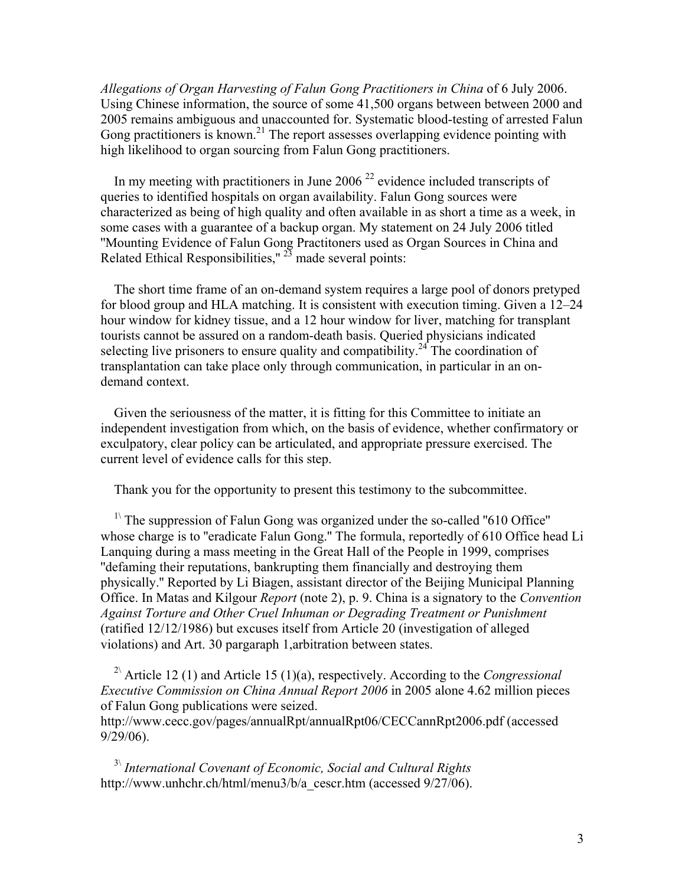*Allegations of Organ Harvesting of Falun Gong Practitioners in China* of 6 July 2006. Using Chinese information, the source of some 41,500 organs between between 2000 and 2005 remains ambiguous and unaccounted for. Systematic blood-testing of arrested Falun Gong practitioners is known.<sup>21</sup> The report assesses overlapping evidence pointing with high likelihood to organ sourcing from Falun Gong practitioners.

In my meeting with practitioners in June 2006<sup> $22$ </sup> evidence included transcripts of queries to identified hospitals on organ availability. Falun Gong sources were characterized as being of high quality and often available in as short a time as a week, in some cases with a guarantee of a backup organ. My statement on 24 July 2006 titled ''Mounting Evidence of Falun Gong Practitoners used as Organ Sources in China and Related Ethical Responsibilities,"  $^{23}$  made several points:

 The short time frame of an on-demand system requires a large pool of donors pretyped for blood group and HLA matching. It is consistent with execution timing. Given a 12–24 hour window for kidney tissue, and a 12 hour window for liver, matching for transplant tourists cannot be assured on a random-death basis. Queried physicians indicated selecting live prisoners to ensure quality and compatibility.<sup>24</sup> The coordination of transplantation can take place only through communication, in particular in an ondemand context.

 Given the seriousness of the matter, it is fitting for this Committee to initiate an independent investigation from which, on the basis of evidence, whether confirmatory or exculpatory, clear policy can be articulated, and appropriate pressure exercised. The current level of evidence calls for this step.

Thank you for the opportunity to present this testimony to the subcommittee.

<sup>1\</sup> The suppression of Falun Gong was organized under the so-called "610 Office" whose charge is to ''eradicate Falun Gong.'' The formula, reportedly of 610 Office head Li Lanquing during a mass meeting in the Great Hall of the People in 1999, comprises ''defaming their reputations, bankrupting them financially and destroying them physically.'' Reported by Li Biagen, assistant director of the Beijing Municipal Planning Office. In Matas and Kilgour *Report* (note 2), p. 9. China is a signatory to the *Convention Against Torture and Other Cruel Inhuman or Degrading Treatment or Punishment* (ratified 12/12/1986) but excuses itself from Article 20 (investigation of alleged violations) and Art. 30 pargaraph 1,arbitration between states.

 2\ Article 12 (1) and Article 15 (1)(a), respectively. According to the *Congressional Executive Commission on China Annual Report 2006* in 2005 alone 4.62 million pieces of Falun Gong publications were seized.

http://www.cecc.gov/pages/annualRpt/annualRpt06/CECCannRpt2006.pdf (accessed 9/29/06).

 3\ *International Covenant of Economic, Social and Cultural Rights* http://www.unhchr.ch/html/menu3/b/a\_cescr.htm (accessed 9/27/06).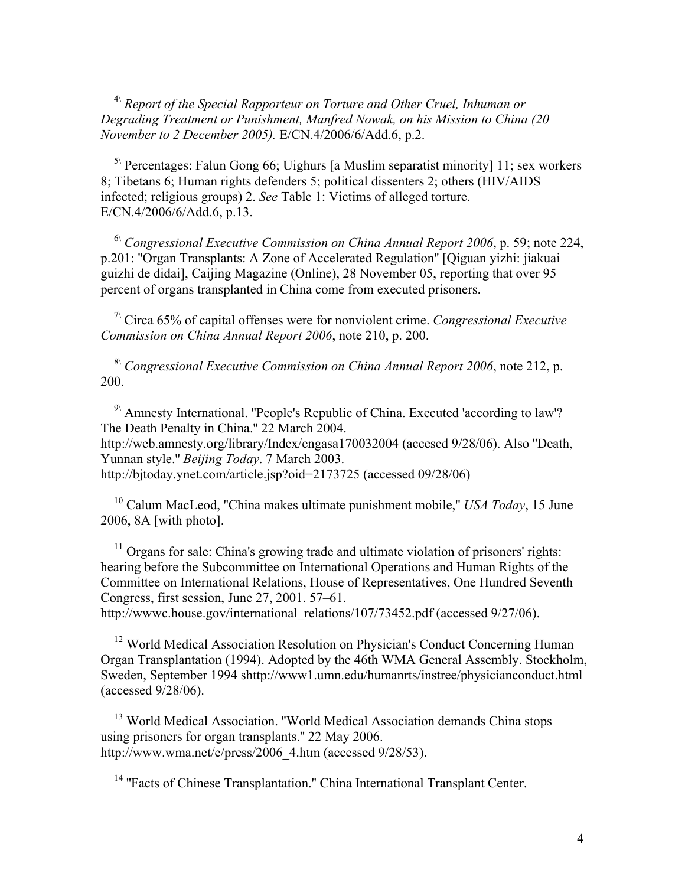4\ *Report of the Special Rapporteur on Torture and Other Cruel, Inhuman or Degrading Treatment or Punishment, Manfred Nowak, on his Mission to China (20 November to 2 December 2005).* E/CN.4/2006/6/Add.6, p.2.

 $5\sqrt{5}$  Percentages: Falun Gong 66; Uighurs [a Muslim separatist minority] 11; sex workers 8; Tibetans 6; Human rights defenders 5; political dissenters 2; others (HIV/AIDS infected; religious groups) 2. *See* Table 1: Victims of alleged torture. E/CN.4/2006/6/Add.6, p.13.

 6\ *Congressional Executive Commission on China Annual Report 2006*, p. 59; note 224, p.201: ''Organ Transplants: A Zone of Accelerated Regulation'' [Qiguan yizhi: jiakuai guizhi de didai], Caijing Magazine (Online), 28 November 05, reporting that over 95 percent of organs transplanted in China come from executed prisoners.

 7\ Circa 65% of capital offenses were for nonviolent crime. *Congressional Executive Commission on China Annual Report 2006*, note 210, p. 200.

 8\ *Congressional Executive Commission on China Annual Report 2006*, note 212, p. 200.

 9\ Amnesty International. ''People's Republic of China. Executed 'according to law'? The Death Penalty in China.'' 22 March 2004. http://web.amnesty.org/library/Index/engasa170032004 (accesed 9/28/06). Also ''Death, Yunnan style.'' *Beijing Today*. 7 March 2003. http://bjtoday.ynet.com/article.jsp?oid=2173725 (accessed 09/28/06)

 10 Calum MacLeod, ''China makes ultimate punishment mobile,'' *USA Today*, 15 June 2006, 8A [with photo].

<sup>11</sup> Organs for sale: China's growing trade and ultimate violation of prisoners' rights: hearing before the Subcommittee on International Operations and Human Rights of the Committee on International Relations, House of Representatives, One Hundred Seventh Congress, first session, June 27, 2001. 57–61.

http://www.house.gov/international\_relations/107/73452.pdf (accessed 9/27/06).

<sup>12</sup> World Medical Association Resolution on Physician's Conduct Concerning Human Organ Transplantation (1994). Adopted by the 46th WMA General Assembly. Stockholm, Sweden, September 1994 shttp://www1.umn.edu/humanrts/instree/physicianconduct.html (accessed 9/28/06).

<sup>13</sup> World Medical Association. "World Medical Association demands China stops using prisoners for organ transplants.'' 22 May 2006. http://www.wma.net/e/press/2006\_4.htm (accessed 9/28/53).

<sup>14</sup> "Facts of Chinese Transplantation." China International Transplant Center.